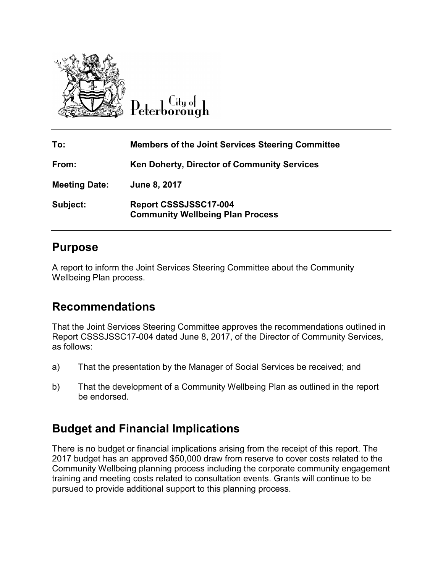

 $\overline{\mathrm{C}}$ ity of

| To:                  | <b>Members of the Joint Services Steering Committee</b>          |
|----------------------|------------------------------------------------------------------|
| From:                | <b>Ken Doherty, Director of Community Services</b>               |
| <b>Meeting Date:</b> | June 8, 2017                                                     |
| Subject:             | Report CSSSJSSC17-004<br><b>Community Wellbeing Plan Process</b> |

### **Purpose**

A report to inform the Joint Services Steering Committee about the Community Wellbeing Plan process.

# **Recommendations**

That the Joint Services Steering Committee approves the recommendations outlined in Report CSSSJSSC17-004 dated June 8, 2017, of the Director of Community Services, as follows:

- a) That the presentation by the Manager of Social Services be received; and
- b) That the development of a Community Wellbeing Plan as outlined in the report be endorsed.

# **Budget and Financial Implications Budget and Financial Implications**

There is no budget or financial implications arising from the receipt of this report. The 2017 budget has an approved \$50,000 draw from reserve to cover costs related to the Community Wellbeing planning process including the corporate community engagement training and meeting costs related to consultation events. Grants will continue to be pursued to provide additional support to this planning process.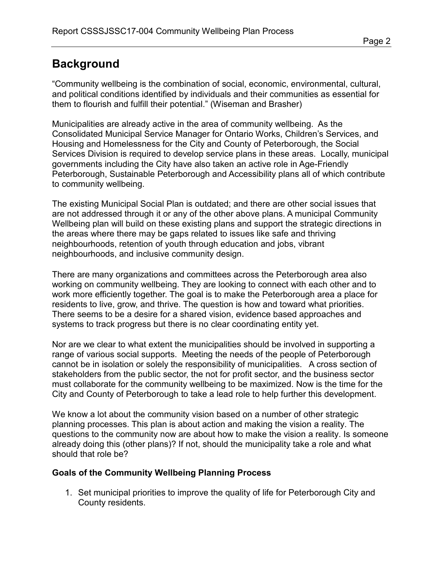## **Background**

"Community wellbeing is the combination of social, economic, environmental, cultural, and political conditions identified by individuals and their communities as essential for them to flourish and fulfill their potential." (Wiseman and Brasher)

Municipalities are already active in the area of community wellbeing. As the Consolidated Municipal Service Manager for Ontario Works, Children's Services, and Housing and Homelessness for the City and County of Peterborough, the Social Services Division is required to develop service plans in these areas. Locally, municipal governments including the City have also taken an active role in Age-Friendly Peterborough, Sustainable Peterborough and Accessibility plans all of which contribute to community wellbeing.

The existing Municipal Social Plan is outdated; and there are other social issues that are not addressed through it or any of the other above plans. A municipal Community Wellbeing plan will build on these existing plans and support the strategic directions in the areas where there may be gaps related to issues like safe and thriving neighbourhoods, retention of youth through education and jobs, vibrant neighbourhoods, and inclusive community design.

There are many organizations and committees across the Peterborough area also working on community wellbeing. They are looking to connect with each other and to work more efficiently together. The goal is to make the Peterborough area a place for residents to live, grow, and thrive. The question is how and toward what priorities. There seems to be a desire for a shared vision, evidence based approaches and systems to track progress but there is no clear coordinating entity yet.

Nor are we clear to what extent the municipalities should be involved in supporting a range of various social supports. Meeting the needs of the people of Peterborough cannot be in isolation or solely the responsibility of municipalities. A cross section of stakeholders from the public sector, the not for profit sector, and the business sector must collaborate for the community wellbeing to be maximized. Now is the time for the City and County of Peterborough to take a lead role to help further this development.

We know a lot about the community vision based on a number of other strategic planning processes. This plan is about action and making the vision a reality. The questions to the community now are about how to make the vision a reality. Is someone already doing this (other plans)? If not, should the municipality take a role and what should that role be?

### **Goals of the Community Wellbeing Planning Process**

1. Set municipal priorities to improve the quality of life for Peterborough City and County residents.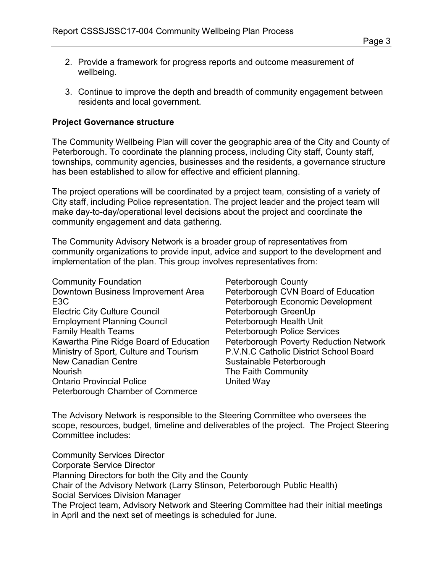- 2. Provide a framework for progress reports and outcome measurement of wellbeing.
- 3. Continue to improve the depth and breadth of community engagement between residents and local government.

#### **Project Governance structure**

The Community Wellbeing Plan will cover the geographic area of the City and County of Peterborough. To coordinate the planning process, including City staff, County staff, townships, community agencies, businesses and the residents, a governance structure has been established to allow for effective and efficient planning.

The project operations will be coordinated by a project team, consisting of a variety of City staff, including Police representation. The project leader and the project team will make day-to-day/operational level decisions about the project and coordinate the community engagement and data gathering.

The Community Advisory Network is a broader group of representatives from community organizations to provide input, advice and support to the development and implementation of the plan. This group involves representatives from:

Community Foundation Downtown Business Improvement Area E3C Electric City Culture Council Employment Planning Council Family Health Teams Kawartha Pine Ridge Board of Education Ministry of Sport, Culture and Tourism New Canadian Centre Nourish Ontario Provincial Police Peterborough Chamber of Commerce

Peterborough County Peterborough CVN Board of Education Peterborough Economic Development Peterborough GreenUp Peterborough Health Unit Peterborough Police Services Peterborough Poverty Reduction Network P.V.N.C Catholic District School Board Sustainable Peterborough The Faith Community United Way

The Advisory Network is responsible to the Steering Committee who oversees the scope, resources, budget, timeline and deliverables of the project. The Project Steering Committee includes:

Community Services Director Corporate Service Director Planning Directors for both the City and the County Chair of the Advisory Network (Larry Stinson, Peterborough Public Health) Social Services Division Manager The Project team, Advisory Network and Steering Committee had their initial meetings in April and the next set of meetings is scheduled for June.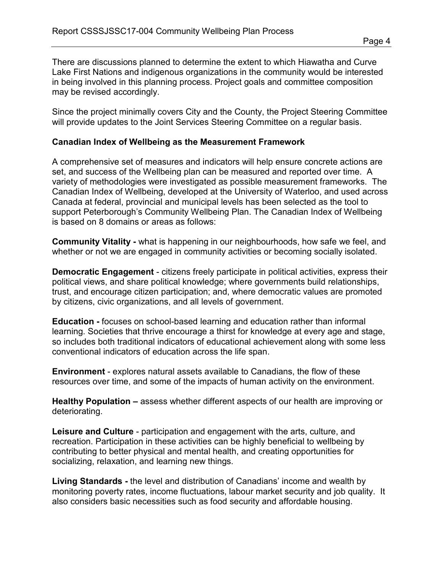There are discussions planned to determine the extent to which Hiawatha and Curve Lake First Nations and indigenous organizations in the community would be interested in being involved in this planning process. Project goals and committee composition may be revised accordingly.

Since the project minimally covers City and the County, the Project Steering Committee will provide updates to the Joint Services Steering Committee on a regular basis.

#### **Canadian Index of Wellbeing as the Measurement Framework**

A comprehensive set of measures and indicators will help ensure concrete actions are set, and success of the Wellbeing plan can be measured and reported over time. A variety of methodologies were investigated as possible measurement frameworks. The Canadian Index of Wellbeing, developed at the University of Waterloo, and used across Canada at federal, provincial and municipal levels has been selected as the tool to support Peterborough's Community Wellbeing Plan. The Canadian Index of Wellbeing is based on 8 domains or areas as follows:

**Community Vitality -** what is happening in our neighbourhoods, how safe we feel, and whether or not we are engaged in community activities or becoming socially isolated.

**Democratic Engagement** - citizens freely participate in political activities, express their political views, and share political knowledge; where governments build relationships, trust, and encourage citizen participation; and, where democratic values are promoted by citizens, civic organizations, and all levels of government.

**Education -** focuses on school-based learning and education rather than informal learning. Societies that thrive encourage a thirst for knowledge at every age and stage, so includes both traditional indicators of educational achievement along with some less conventional indicators of education across the life span.

**Environment** - explores natural assets available to Canadians, the flow of these resources over time, and some of the impacts of human activity on the environment.

**Healthy Population –** assess whether different aspects of our health are improving or deteriorating.

**Leisure and Culture** - participation and engagement with the arts, culture, and recreation. Participation in these activities can be highly beneficial to wellbeing by contributing to better physical and mental health, and creating opportunities for socializing, relaxation, and learning new things.

**Living Standards -** the level and distribution of Canadians' income and wealth by monitoring poverty rates, income fluctuations, labour market security and job quality. It also considers basic necessities such as food security and affordable housing.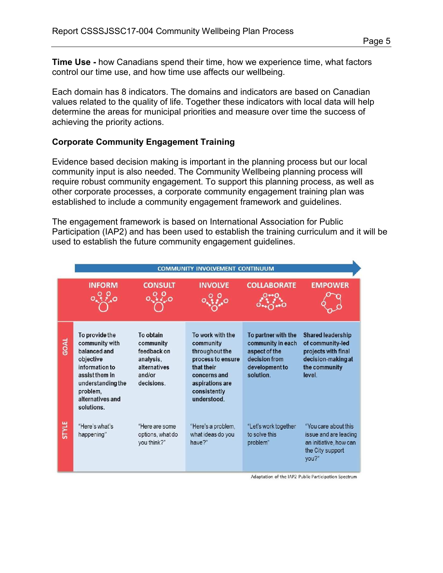**Time Use -** how Canadians spend their time, how we experience time, what factors control our time use, and how time use affects our wellbeing.

Each domain has 8 indicators. The domains and indicators are based on Canadian values related to the quality of life. Together these indicators with local data will help determine the areas for municipal priorities and measure over time the success of achieving the priority actions.

#### **Corporate Community Engagement Training**

Evidence based decision making is important in the planning process but our local community input is also needed. The Community Wellbeing planning process will require robust community engagement. To support this planning process, as well as other corporate processes, a corporate community engagement training plan was established to include a community engagement framework and guidelines.

The engagement framework is based on International Association for Public Participation (IAP2) and has been used to establish the training curriculum and it will be used to establish the future community engagement guidelines.



Adaptation of the IAP2 Public Participation Spectrum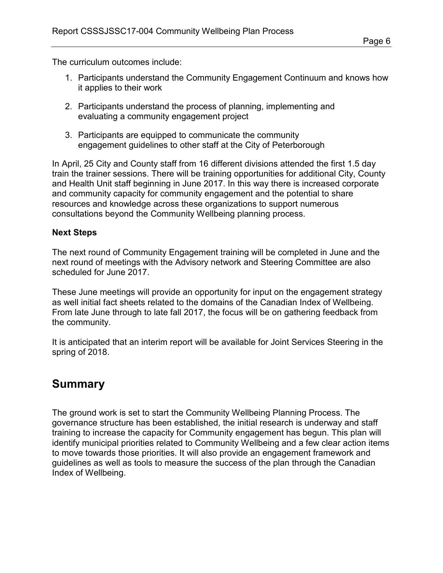The curriculum outcomes include:

- 1. Participants understand the Community Engagement Continuum and knows how it applies to their work
- 2. Participants understand the process of planning, implementing and evaluating a community engagement project
- 3. Participants are equipped to communicate the community engagement guidelines to other staff at the City of Peterborough

In April, 25 City and County staff from 16 different divisions attended the first 1.5 day train the trainer sessions. There will be training opportunities for additional City, County and Health Unit staff beginning in June 2017. In this way there is increased corporate and community capacity for community engagement and the potential to share resources and knowledge across these organizations to support numerous consultations beyond the Community Wellbeing planning process.

### **Next Steps**

The next round of Community Engagement training will be completed in June and the next round of meetings with the Advisory network and Steering Committee are also scheduled for June 2017.

These June meetings will provide an opportunity for input on the engagement strategy as well initial fact sheets related to the domains of the Canadian Index of Wellbeing. From late June through to late fall 2017, the focus will be on gathering feedback from the community.

It is anticipated that an interim report will be available for Joint Services Steering in the spring of 2018.

### **Summary**

The ground work is set to start the Community Wellbeing Planning Process. The governance structure has been established, the initial research is underway and staff training to increase the capacity for Community engagement has begun. This plan will identify municipal priorities related to Community Wellbeing and a few clear action items to move towards those priorities. It will also provide an engagement framework and guidelines as well as tools to measure the success of the plan through the Canadian Index of Wellbeing.